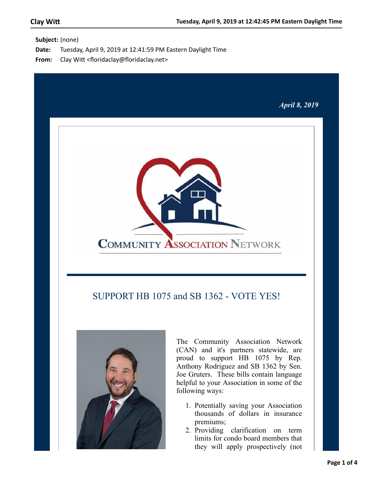**Subject:** (none)

- **Date:** Tuesday, April 9, 2019 at 12:41:59 PM Eastern Daylight Time
- From: Clay Witt <floridaclay@floridaclay.net>



## SUPPORT HB 1075 and SB 1362 - VOTE YES!



The Community Association Network (CAN) and it's partners statewide, are proud to support HB 1075 by Rep. Anthony Rodriguez and SB 1362 by Sen. Joe Gruters. These bills contain language helpful to your Association in some of the following ways:

- 1. Potentially saving your Association thousands of dollars in insurance premiums;
- 2. Providing clarification on term limits for condo board members that they will apply prospectively (not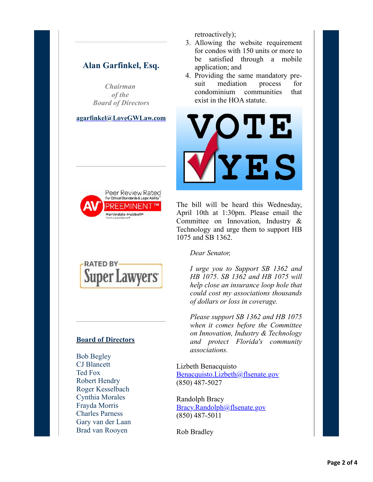## **Alan Garfinkel, Esq.**

*Chairman of the Board of Directors*

**[agarfinkel@LoveGWLaw.com](mailto:agarfinkel@lovegwlaw.com?subject=CAN%20Alert)**



retroactively);

- 3. Allowing the website requirement for condos with 150 units or more to be satisfied through a mobile application; and
- 4. Providing the same mandatory presuit mediation process for condominium communities that exist in the HOA statute.



The bill will be heard this Wednesday, April 10th at 1:30pm. Please email the Committee on Innovation, Industry & Technology and urge them to support HB 1075 and SB 1362.



### **Board of Directors**

Bob Begley CJ Blancett Ted Fox Robert Hendry Roger Kesselbach Cynthia Morales Frayda Morris Charles Parness Gary van der Laan Brad van Rooyen

*Dear Senator,*

*I urge you to Support SB 1362 and HB 1075. SB 1362 and HB 1075 will help close an insurance loop hole that could cost my associations thousands of dollars or loss in coverage.*

*Please support SB 1362 and HB 1075 when it comes before the Committee on Innovation, Industry & Technology and protect Florida's community associations.*

Lizbeth Benacquisto [Benacquisto.Lizbeth@flsenate.gov](mailto:Benacquisto.Lizbeth@flsenate.gov;Bracy.Randolph@flsenate.gov;Bradley.Rob@flsenate.gov;Brandes.Jeff@flsenate.gov;Braynon.Oscar@flsenate.gov;Farmer.Gary@flsenate.gov;Gibson.Audrey@flsenate.gov;Hutson.Travis@flsenate.gov;Passidomo.Kathleen@flsenate.gov;Simpson.Wilton@flsenate.gov?subject=SUPPORT%20HB%201075%20and%20SB%201362%20-%20VOTE%20YES!) (850) 487-5027

Randolph Bracy [Bracy.Randolph@flsenate.gov](mailto:Benacquisto.Lizbeth@flsenate.gov;Bracy.Randolph@flsenate.gov;Bradley.Rob@flsenate.gov;Brandes.Jeff@flsenate.gov;Braynon.Oscar@flsenate.gov;Farmer.Gary@flsenate.gov;Gibson.Audrey@flsenate.gov;Hutson.Travis@flsenate.gov;Passidomo.Kathleen@flsenate.gov;Simpson.Wilton@flsenate.gov?subject=Support%20HB%201075%20and%20SB%201362%20-%20Vote%20Yes!) (850) 487-5011

Rob Bradley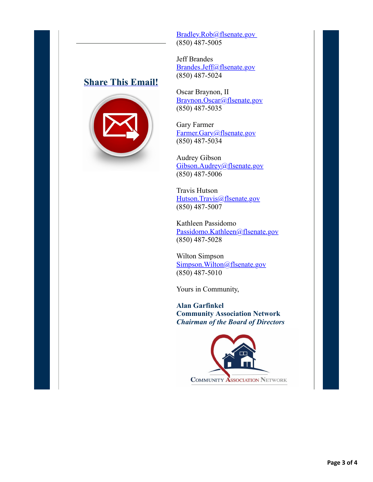## **[Share This Email!](http://ui.constantcontact.com/sa/fwtf.jsp?m=1126041375869&a=1132463101229&ea=rk-scca%40cfl.rr.com)**



Bradley.Rob@flsenate.gov (850) 487-5005

Jeff Brandes [Brandes.Jeff@flsenate.gov](mailto:Benacquisto.Lizbeth@flsenate.gov;Bracy.Randolph@flsenate.gov;Bradley.Rob@flsenate.gov;Brandes.Jeff@flsenate.gov;Braynon.Oscar@flsenate.gov;Farmer.Gary@flsenate.gov;Gibson.Audrey@flsenate.gov;Hutson.Travis@flsenate.gov;Passidomo.Kathleen@flsenate.gov;Simpson.Wilton@flsenate.gov?subject=Support%20HB%201075%20and%20SB%201362%20-%20Vote%20Yes!) (850) 487-5024

Oscar Braynon, II [Braynon.Oscar@flsenate.gov](mailto:Benacquisto.Lizbeth@flsenate.gov;Bracy.Randolph@flsenate.gov;Bradley.Rob@flsenate.gov;Brandes.Jeff@flsenate.gov;Braynon.Oscar@flsenate.gov;Farmer.Gary@flsenate.gov;Gibson.Audrey@flsenate.gov;Hutson.Travis@flsenate.gov;Passidomo.Kathleen@flsenate.gov;Simpson.Wilton@flsenate.gov?subject=Support%20HB%201075%20and%20SB%201362%20-%20Vote%20Yes!) (850) 487-5035

Gary Farmer [Farmer.Gary@flsenate.gov](mailto:Benacquisto.Lizbeth@flsenate.gov;Bracy.Randolph@flsenate.gov;Bradley.Rob@flsenate.gov;Brandes.Jeff@flsenate.gov;Braynon.Oscar@flsenate.gov;Farmer.Gary@flsenate.gov;Gibson.Audrey@flsenate.gov;Hutson.Travis@flsenate.gov;Passidomo.Kathleen@flsenate.gov;Simpson.Wilton@flsenate.gov?subject=Support%20HB%201075%20and%20SB%201362%20-%20Vote%20Yes!) (850) 487-5034

Audrey Gibson [Gibson.Audrey@flsenate.gov](mailto:Benacquisto.Lizbeth@flsenate.gov;Bracy.Randolph@flsenate.gov;Bradley.Rob@flsenate.gov;Brandes.Jeff@flsenate.gov;Braynon.Oscar@flsenate.gov;Farmer.Gary@flsenate.gov;Gibson.Audrey@flsenate.gov;Hutson.Travis@flsenate.gov;Passidomo.Kathleen@flsenate.gov;Simpson.Wilton@flsenate.gov?subject=Support%20HB%201075%20and%20SB%201362%20-%20Vote%20Yes!) (850) 487-5006

Travis Hutson [Hutson.Travis@flsenate.gov](mailto:Benacquisto.Lizbeth@flsenate.gov;Bracy.Randolph@flsenate.gov;Bradley.Rob@flsenate.gov;Brandes.Jeff@flsenate.gov;Braynon.Oscar@flsenate.gov;Farmer.Gary@flsenate.gov;Gibson.Audrey@flsenate.gov;Hutson.Travis@flsenate.gov;Passidomo.Kathleen@flsenate.gov;Simpson.Wilton@flsenate.gov?subject=Support%20HB%201075%20and%20SB%201362%20-%20Vote%20Yes!) (850) 487-5007

Kathleen Passidomo [Passidomo.Kathleen@flsenate.gov](mailto:Benacquisto.Lizbeth@flsenate.gov;Bracy.Randolph@flsenate.gov;Bradley.Rob@flsenate.gov;Brandes.Jeff@flsenate.gov;Braynon.Oscar@flsenate.gov;Farmer.Gary@flsenate.gov;Gibson.Audrey@flsenate.gov;Hutson.Travis@flsenate.gov;Passidomo.Kathleen@flsenate.gov;Simpson.Wilton@flsenate.gov?subject=Support%20HB%201075%20and%20SB%201362%20-%20Vote%20Yes!) (850) 487-5028

Wilton Simpson [Simpson.Wilton@flsenate.gov](mailto:Benacquisto.Lizbeth@flsenate.gov;Bracy.Randolph@flsenate.gov;Bradley.Rob@flsenate.gov;Brandes.Jeff@flsenate.gov;Braynon.Oscar@flsenate.gov;Farmer.Gary@flsenate.gov;Gibson.Audrey@flsenate.gov;Hutson.Travis@flsenate.gov;Passidomo.Kathleen@flsenate.gov;Simpson.Wilton@flsenate.gov?subject=Support%20HB%201075%20and%20SB%201362%20-%20Vote%20Yes!) (850) 487-5010

Yours in Community,

**Alan Garfinkel Community Association Network** *Chairman of the Board of Directors*